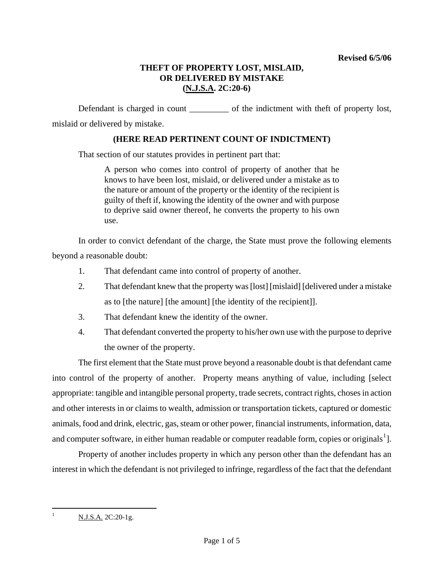Defendant is charged in count \_\_\_\_\_\_\_\_\_\_\_\_ of the indictment with theft of property lost, mislaid or delivered by mistake.

#### **(HERE READ PERTINENT COUNT OF INDICTMENT)**

That section of our statutes provides in pertinent part that:

A person who comes into control of property of another that he knows to have been lost, mislaid, or delivered under a mistake as to the nature or amount of the property or the identity of the recipient is guilty of theft if, knowing the identity of the owner and with purpose to deprive said owner thereof, he converts the property to his own use.

In order to convict defendant of the charge, the State must prove the following elements beyond a reasonable doubt:

- 1. That defendant came into control of property of another.
- 2. That defendant knew that the property was [lost] [mislaid] [delivered under a mistake as to [the nature] [the amount] [the identity of the recipient]].
- 3. That defendant knew the identity of the owner.
- 4. That defendant converted the property to his/her own use with the purpose to deprive the owner of the property.

The first element that the State must prove beyond a reasonable doubt is that defendant came into control of the property of another. Property means anything of value, including [select appropriate: tangible and intangible personal property, trade secrets, contract rights, choses in action and other interests in or claims to wealth, admission or transportation tickets, captured or domestic animals, food and drink, electric, gas, steam or other power, financial instruments, information, data, and computer software, in either human readable or computer readable form, copies or originals<sup>[1](#page-0-0)</sup>].

Property of another includes property in which any person other than the defendant has an interest in which the defendant is not privileged to infringe, regardless of the fact that the defendant

<span id="page-0-0"></span> $\overline{\phantom{0}}$ 

N.J.S.A. 2C:20-1g.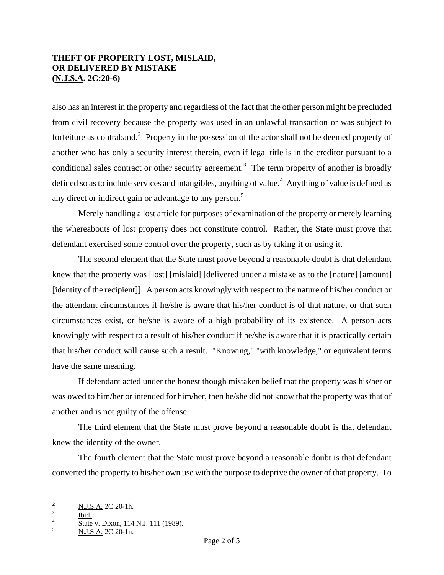also has an interest in the property and regardless of the fact that the other person might be precluded from civil recovery because the property was used in an unlawful transaction or was subject to forfeiture as contraband.<sup>[2](#page-1-0)</sup> Property in the possession of the actor shall not be deemed property of another who has only a security interest therein, even if legal title is in the creditor pursuant to a conditional sales contract or other security agreement.<sup>[3](#page-1-1)</sup> The term property of another is broadly defined so as to include services and intangibles, anything of value.<sup>[4](#page-1-2)</sup> Anything of value is defined as any direct or indirect gain or advantage to any person.[5](#page-1-3)

Merely handling a lost article for purposes of examination of the property or merely learning the whereabouts of lost property does not constitute control. Rather, the State must prove that defendant exercised some control over the property, such as by taking it or using it.

The second element that the State must prove beyond a reasonable doubt is that defendant knew that the property was [lost] [mislaid] [delivered under a mistake as to the [nature] [amount] [identity of the recipient]]. A person acts knowingly with respect to the nature of his/her conduct or the attendant circumstances if he/she is aware that his/her conduct is of that nature, or that such circumstances exist, or he/she is aware of a high probability of its existence. A person acts knowingly with respect to a result of his/her conduct if he/she is aware that it is practically certain that his/her conduct will cause such a result. "Knowing," "with knowledge," or equivalent terms have the same meaning.

If defendant acted under the honest though mistaken belief that the property was his/her or was owed to him/her or intended for him/her, then he/she did not know that the property was that of another and is not guilty of the offense.

The third element that the State must prove beyond a reasonable doubt is that defendant knew the identity of the owner.

The fourth element that the State must prove beyond a reasonable doubt is that defendant converted the property to his/her own use with the purpose to deprive the owner of that property. To

<span id="page-1-0"></span>i  $\frac{1}{3}$  N.J.S.A. 2C:20-1h.

<span id="page-1-1"></span>

<span id="page-1-2"></span> $\frac{14}{5}$  State v. Dixon, 114 N.J. 111 (1989).<br>N.J.S.A. 2C:20-1n.

<span id="page-1-3"></span>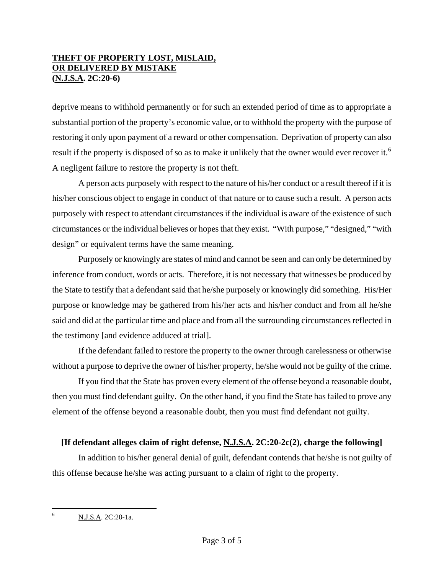deprive means to withhold permanently or for such an extended period of time as to appropriate a substantial portion of the property's economic value, or to withhold the property with the purpose of restoring it only upon payment of a reward or other compensation. Deprivation of property can also result if the property is disposed of so as to make it unlikely that the owner would ever recover it.<sup>[6](#page-2-0)</sup> A negligent failure to restore the property is not theft.

A person acts purposely with respect to the nature of his/her conduct or a result thereof if it is his/her conscious object to engage in conduct of that nature or to cause such a result. A person acts purposely with respect to attendant circumstances if the individual is aware of the existence of such circumstances or the individual believes or hopes that they exist. "With purpose," "designed," "with design" or equivalent terms have the same meaning.

Purposely or knowingly are states of mind and cannot be seen and can only be determined by inference from conduct, words or acts. Therefore, it is not necessary that witnesses be produced by the State to testify that a defendant said that he/she purposely or knowingly did something. His/Her purpose or knowledge may be gathered from his/her acts and his/her conduct and from all he/she said and did at the particular time and place and from all the surrounding circumstances reflected in the testimony [and evidence adduced at trial].

If the defendant failed to restore the property to the owner through carelessness or otherwise without a purpose to deprive the owner of his/her property, he/she would not be guilty of the crime.

If you find that the State has proven every element of the offense beyond a reasonable doubt, then you must find defendant guilty. On the other hand, if you find the State has failed to prove any element of the offense beyond a reasonable doubt, then you must find defendant not guilty.

## **[If defendant alleges claim of right defense, N.J.S.A. 2C:20-2c(2), charge the following]**

In addition to his/her general denial of guilt, defendant contends that he/she is not guilty of this offense because he/she was acting pursuant to a claim of right to the property.

i<br>Li

<span id="page-2-0"></span><sup>6</sup> N.J.S.A. 2C:20-1a.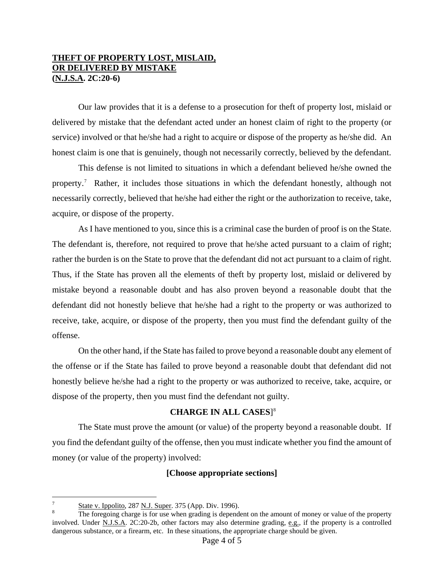Our law provides that it is a defense to a prosecution for theft of property lost, mislaid or delivered by mistake that the defendant acted under an honest claim of right to the property (or service) involved or that he/she had a right to acquire or dispose of the property as he/she did. An honest claim is one that is genuinely, though not necessarily correctly, believed by the defendant.

This defense is not limited to situations in which a defendant believed he/she owned the property.<sup>[7](#page-3-0)</sup> Rather, it includes those situations in which the defendant honestly, although not necessarily correctly, believed that he/she had either the right or the authorization to receive, take, acquire, or dispose of the property.

As I have mentioned to you, since this is a criminal case the burden of proof is on the State. The defendant is, therefore, not required to prove that he/she acted pursuant to a claim of right; rather the burden is on the State to prove that the defendant did not act pursuant to a claim of right. Thus, if the State has proven all the elements of theft by property lost, mislaid or delivered by mistake beyond a reasonable doubt and has also proven beyond a reasonable doubt that the defendant did not honestly believe that he/she had a right to the property or was authorized to receive, take, acquire, or dispose of the property, then you must find the defendant guilty of the offense.

On the other hand, if the State has failed to prove beyond a reasonable doubt any element of the offense or if the State has failed to prove beyond a reasonable doubt that defendant did not honestly believe he/she had a right to the property or was authorized to receive, take, acquire, or dispose of the property, then you must find the defendant not guilty.

## **CHARGE IN ALL CASES**] [8](#page-3-1)

The State must prove the amount (or value) of the property beyond a reasonable doubt. If you find the defendant guilty of the offense, then you must indicate whether you find the amount of money (or value of the property) involved:

#### **[Choose appropriate sections]**

 $\overline{\phantom{0}}$ 

<span id="page-3-1"></span><span id="page-3-0"></span>State v. Ippolito, 287 N.J. Super. 375 (App. Div. 1996).<br>The foregoing charge is for use when grading is dependent on the amount of money or value of the property involved. Under N.J.S.A. 2C:20-2b, other factors may also determine grading, e.g., if the property is a controlled dangerous substance, or a firearm, etc. In these situations, the appropriate charge should be given.